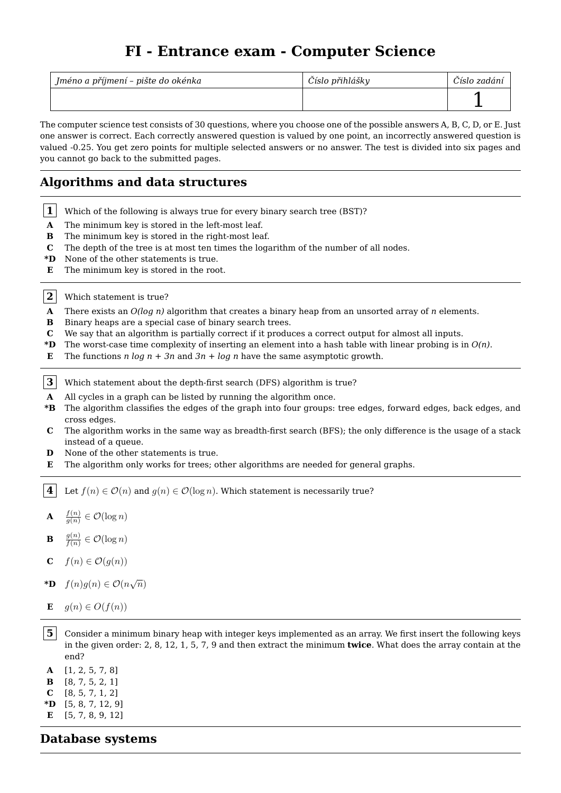# **FI - Entrance exam - Computer Science**

| Jméno a příjmení - pište do okénka | Číslo přihlášky | Číslo zadání |
|------------------------------------|-----------------|--------------|
|                                    |                 |              |

The computer science test consists of 30 questions, where you choose one of the possible answers A, B, C, D, or E. Just one answer is correct. Each correctly answered question is valued by one point, an incorrectly answered question is valued -0.25. You get zero points for multiple selected answers or no answer. The test is divided into six pages and you cannot go back to the submitted pages.

## **Algorithms and data structures**

- **1** Which of the following is always true for every binary search tree (BST)? **A** The minimum key is stored in the left-most leaf. **B** The minimum key is stored in the right-most leaf. **C** The depth of the tree is at most ten times the logarithm of the number of all nodes. **\*D** None of the other statements is true. **E** The minimum key is stored in the root. **2** Which statement is true? **A** There exists an *O(log n)* algorithm that creates a binary heap from an unsorted array of *n* elements. **B** Binary heaps are a special case of binary search trees. **C** We say that an algorithm is partially correct if it produces a correct output for almost all inputs. **\*D** The worst-case time complexity of inserting an element into a hash table with linear probing is in *O(n)*. **E** The functions *n log n + 3n* and *3n + log n* have the same asymptotic growth. **3** Which statement about the depth-first search (DFS) algorithm is true? **A** All cycles in a graph can be listed by running the algorithm once. **\*B** The algorithm classifies the edges of the graph into four groups: tree edges, forward edges, back edges, and cross edges. **C** The algorithm works in the same way as breadth-first search (BFS); the only difference is the usage of a stack instead of a queue. **D** None of the other statements is true. **E** The algorithm only works for trees; other algorithms are needed for general graphs. **4** Let  $f(n) \in \mathcal{O}(n)$  and  $g(n) \in \mathcal{O}(\log n)$ . Which statement is necessarily true?  $\mathbf{A} = \frac{f(n)}{g(n)}$  $\frac{f(n)}{g(n)} \in \mathcal{O}(\log n)$ **B** *g*(*n*)  $\frac{g(n)}{f(n)} \in \mathcal{O}(\log n)$ **C**  $f(n) \in \mathcal{O}(g(n))$ **\*D**  $f(n)g(n) \in \mathcal{O}(n\sqrt{n})$ **E**  $g(n) \in O(f(n))$ **5** Consider a minimum binary heap with integer keys implemented as an array. We first insert the following keys in the given order: 2, 8, 12, 1, 5, 7, 9 and then extract the minimum **twice**. What does the array contain at the end? **A** [1, 2, 5, 7, 8] **B** [8, 7, 5, 2, 1] **C** [8, 5, 7, 1, 2]
- **\*D** [5, 8, 7, 12, 9]
- **E** [5, 7, 8, 9, 12]

### **Database systems**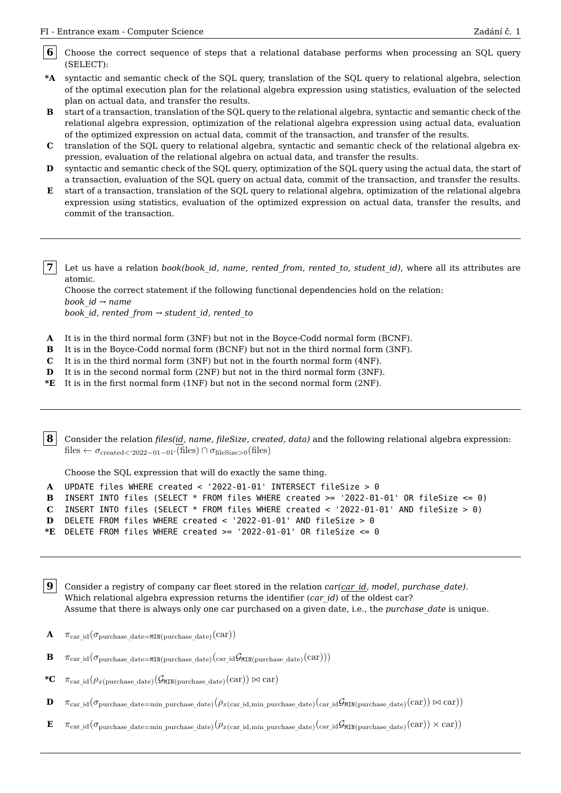- **6** Choose the correct sequence of steps that a relational database performs when processing an SQL query (SELECT):
- **\*A** syntactic and semantic check of the SQL query, translation of the SQL query to relational algebra, selection of the optimal execution plan for the relational algebra expression using statistics, evaluation of the selected plan on actual data, and transfer the results.
- **B** start of a transaction, translation of the SQL query to the relational algebra, syntactic and semantic check of the relational algebra expression, optimization of the relational algebra expression using actual data, evaluation of the optimized expression on actual data, commit of the transaction, and transfer of the results.
- **C** translation of the SQL query to relational algebra, syntactic and semantic check of the relational algebra expression, evaluation of the relational algebra on actual data, and transfer the results.
- **D** syntactic and semantic check of the SQL query, optimization of the SQL query using the actual data, the start of a transaction, evaluation of the SQL query on actual data, commit of the transaction, and transfer the results.
- **E** start of a transaction, translation of the SQL query to relational algebra, optimization of the relational algebra expression using statistics, evaluation of the optimized expression on actual data, transfer the results, and commit of the transaction.

**7** Let us have a relation *book(book\_id, name, rented\_from, rented\_to, student\_id)*, where all its attributes are atomic.

Choose the correct statement if the following functional dependencies hold on the relation: *book\_id → name book\_id, rented\_from → student\_id, rented\_to*

- **A** It is in the third normal form (3NF) but not in the Boyce-Codd normal form (BCNF).
- **B** It is in the Boyce-Codd normal form (BCNF) but not in the third normal form (3NF).
- **C** It is in the third normal form (3NF) but not in the fourth normal form (4NF).
- **D** It is in the second normal form (2NF) but not in the third normal form (3NF).
- **\*E** It is in the first normal form (1NF) but not in the second normal form (2NF).

**8** Consider the relation *files(id, name, fileSize, created, data)* and the following relational algebra expression: files *← σ*created*<*'2022*−*01*−*01'(files) *∩ σ*fileSize*>*0(files)

Choose the SQL expression that will do exactly the same thing.

```
A UPDATE files WHERE created < '2022-01-01' INTERSECT fileSize > 0
B INSERT INTO files (SELECT * FROM files WHERE created >= '2022-01-01' OR fileSize <= 0)
C INSERT INTO files (SELECT * FROM files WHERE created < '2022-01-01' AND fileSize > 0)
D DELETE FROM files WHERE created < '2022-01-01' AND fileSize > 0
*E DELETE FROM files WHERE created >= '2022-01-01' OR fileSize <= 0
```
**9** Consider a registry of company car fleet stored in the relation *car(car id, model, purchase date)*. Which relational algebra expression returns the identifier (*car id*) of the oldest car? Assume that there is always only one car purchased on a given date, i.e., the *purchase date* is unique.

- **A**  $\pi_{\text{car id}}(\sigma_{\text{purchase date}=MIN(\text{purchase date})}(car))$
- **B**  $\pi_{\text{car id}}(\sigma_{\text{purchase date}} = \text{MIN(purchase date)}(\text{car id}\mathcal{G}_{\text{MIN(purchase date)}}(\text{car})))$
- \*C  $\pi_{\text{car id}}(\rho_{x(\text{purchase date})}(\mathcal{G}_{\text{MIN(purchase date})}(\text{car})) \bowtie \text{car})$
- **D**  $\pi_{\text{car\_id}}(\sigma_{\text{purchase\_date}} = \min_{\text{purchase\_date}}(\rho_{x(\text{car\_id},\text{min\_purchase\_date})}(\text{car\_id}\mathcal{G}_{\text{MIN}}(\text{purchase\_date}) (\text{car})) \Join \text{car})$
- **<sup>E</sup>** *π*car\_id(*σ*purchase\_date=min\_purchase\_date)(*ρx*(car\_id*,*min\_purchase\_date)(car\_id*G*MIN(purchase\_date)(car)) *×* car))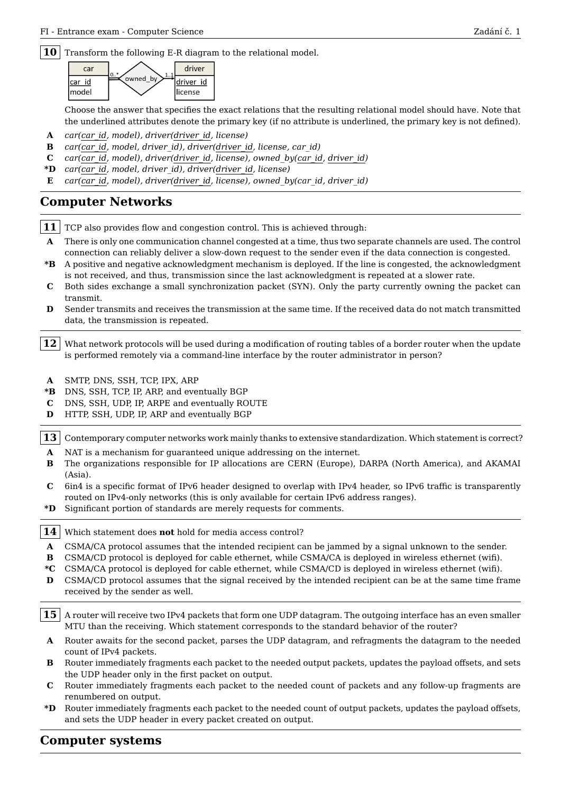**10** Transform the following E-R diagram to the relational model.



Choose the answer that specifies the exact relations that the resulting relational model should have. Note that the underlined attributes denote the primary key (if no attribute is underlined, the primary key is not defined).

- **A** *car(car\_id, model), driver(driver\_id, license)*
- **B** *car(car\_id, model, driver\_id), driver(driver\_id, license, car\_id)*
- **C** *car(car\_id, model), driver(driver\_id, license), owned\_by(car\_id, driver\_id)*
- **\*D** *car(car\_id, model, driver\_id), driver(driver\_id, license)*
- **E** *car(car\_id, model), driver(driver\_id, license), owned\_by(car\_id, driver\_id)*

## **Computer Networks**

- **11** TCP also provides flow and congestion control. This is achieved through:
- **A** There is only one communication channel congested at a time, thus two separate channels are used. The control connection can reliably deliver a slow-down request to the sender even if the data connection is congested.
- **\*B** A positive and negative acknowledgment mechanism is deployed. If the line is congested, the acknowledgment is not received, and thus, transmission since the last acknowledgment is repeated at a slower rate.
- **C** Both sides exchange a small synchronization packet (SYN). Only the party currently owning the packet can transmit.
- **D** Sender transmits and receives the transmission at the same time. If the received data do not match transmitted data, the transmission is repeated.
- **12** What network protocols will be used during a modification of routing tables of a border router when the update is performed remotely via a command-line interface by the router administrator in person?
- **A** SMTP, DNS, SSH, TCP, IPX, ARP
- **\*B** DNS, SSH, TCP, IP, ARP, and eventually BGP
- **C** DNS, SSH, UDP, IP, ARPE and eventually ROUTE
- **D** HTTP, SSH, UDP, IP, ARP and eventually BGP
- 13 Contemporary computer networks work mainly thanks to extensive standardization. Which statement is correct?
- **A** NAT is a mechanism for guaranteed unique addressing on the internet.
- **B** The organizations responsible for IP allocations are CERN (Europe), DARPA (North America), and AKAMAI (Asia).
- **C** 6in4 is a specific format of IPv6 header designed to overlap with IPv4 header, so IPv6 traffic is transparently routed on IPv4-only networks (this is only available for certain IPv6 address ranges).
- **\*D** Significant portion of standards are merely requests for comments.

**14** Which statement does **not** hold for media access control?

- **A** CSMA/CA protocol assumes that the intended recipient can be jammed by a signal unknown to the sender.
- **B** CSMA/CD protocol is deployed for cable ethernet, while CSMA/CA is deployed in wireless ethernet (wifi).
- **\*C** CSMA/CA protocol is deployed for cable ethernet, while CSMA/CD is deployed in wireless ethernet (wifi).
- **D** CSMA/CD protocol assumes that the signal received by the intended recipient can be at the same time frame received by the sender as well.
- 15 A router will receive two IPv4 packets that form one UDP datagram. The outgoing interface has an even smaller MTU than the receiving. Which statement corresponds to the standard behavior of the router?
- **A** Router awaits for the second packet, parses the UDP datagram, and refragments the datagram to the needed count of IPv4 packets.
- **B** Router immediately fragments each packet to the needed output packets, updates the payload offsets, and sets the UDP header only in the first packet on output.
- **C** Router immediately fragments each packet to the needed count of packets and any follow-up fragments are renumbered on output.
- **\*D** Router immediately fragments each packet to the needed count of output packets, updates the payload offsets, and sets the UDP header in every packet created on output.

## **Computer systems**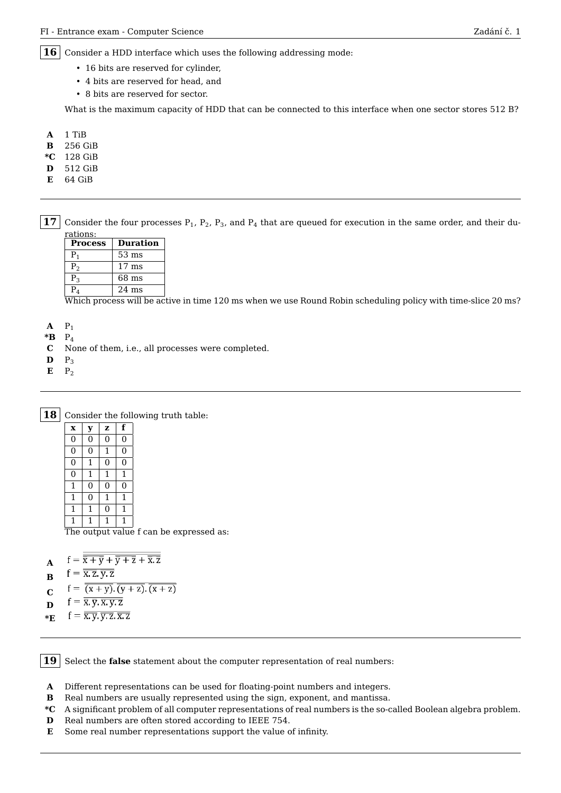**16** Consider a HDD interface which uses the following addressing mode:

- 16 bits are reserved for cylinder,
- 4 bits are reserved for head, and
- 8 bits are reserved for sector.

What is the maximum capacity of HDD that can be connected to this interface when one sector stores 512 B?

- **A** 1 TiB
- **B** 256 GiB
- **\*C** 128 GiB
- **D** 512 GiB
- **E** 64 GiB

**17** Consider the four processes  $P_1$ ,  $P_2$ ,  $P_3$ , and  $P_4$  that are queued for execution in the same order, and their durations:

| <b>Process</b> | <b>Duration</b> |
|----------------|-----------------|
| P <sub>1</sub> | $53 \text{ ms}$ |
| P <sub>2</sub> | $17 \text{ ms}$ |
| $P_3$          | 68 ms           |
| $P_{A}$        | $24 \text{ ms}$ |

Which process will be active in time 120 ms when we use Round Robin scheduling policy with time-slice 20 ms?

- $A$   $P_1$
- **\*B** P<sup>4</sup>
- **C** None of them, i.e., all processes were completed.
- **D** P<sup>3</sup>
- **E** P<sup>2</sup>

**18** Consider the following truth table:

| $\mathbf x$ | У | z | f |                                         |
|-------------|---|---|---|-----------------------------------------|
|             |   |   |   |                                         |
|             |   |   | 0 |                                         |
| 0           |   | 0 | 0 |                                         |
|             |   |   |   |                                         |
| 1           | 0 | 0 | 0 |                                         |
| 1           |   |   | 1 |                                         |
| 1           |   | 0 |   |                                         |
|             |   |   |   |                                         |
|             |   |   |   | The output value f can be expressed as: |

- $f = \frac{\overline{\overline{x}} + \overline{y}}{\overline{x} + \overline{y}} + \frac{\overline{z}}{\overline{x} + \overline{z}}$ **A**
- $f = \overline{\overline{x} \cdot \overline{z} \cdot \overline{y} \cdot \overline{z}}$ **B**
- $f = \overline{(x+y)} \cdot \overline{(y+z)} \cdot \overline{(x+z)}$ **C**
- $f = \overline{\overline{x}.\overline{y}.\overline{x}.y.\overline{z}}$ **D**
- $f = \overline{\overline{X}, \overline{Y}, \overline{Y}, \overline{Z}, \overline{X}, \overline{Z}}$ **\*E**

19 Select the **false** statement about the computer representation of real numbers:

**A** Different representations can be used for floating-point numbers and integers.

- **B** Real numbers are usually represented using the sign, exponent, and mantissa.
- **\*C** A significant problem of all computer representations of real numbers is the so-called Boolean algebra problem.
- **D** Real numbers are often stored according to IEEE 754.
- **E** Some real number representations support the value of infinity.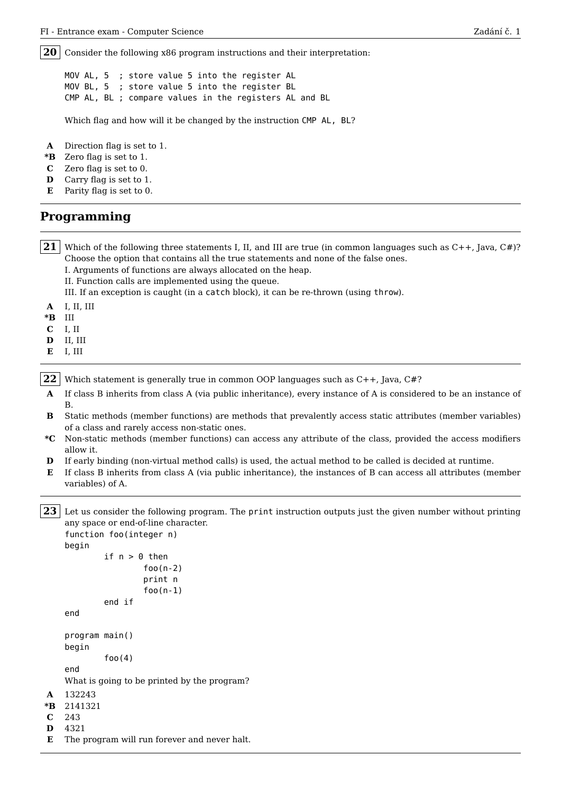**20** Consider the following x86 program instructions and their interpretation:

MOV AL, 5 ; store value 5 into the register AL MOV BL, 5 ; store value 5 into the register BL CMP AL, BL ; compare values in the registers AL and BL

Which flag and how will it be changed by the instruction CMP AL, BL?

- **A** Direction flag is set to 1.
- **\*B** Zero flag is set to 1.
- **C** Zero flag is set to 0.
- **D** Carry flag is set to 1.
- **E** Parity flag is set to 0.

#### **Programming**

```
21 Which of the following three statements I, II, and III are true (in common languages such as C_{++}, Java, C_{+})?
     Choose the option that contains all the true statements and none of the false ones.
     I. Arguments of functions are always allocated on the heap.
     II. Function calls are implemented using the queue.
     III. If an exception is caught (in a catch block), it can be re-thrown (using throw).
 A I, II, III
 *B III
 C I, II
 D II, III
 E I, III
22 Which statement is generally true in common OOP languages such as C++, Java, C#?
 A If class B inherits from class A (via public inheritance), every instance of A is considered to be an instance of
     B.
 B Static methods (member functions) are methods that prevalently access static attributes (member variables)
     of a class and rarely access non-static ones.
 *C Non-static methods (member functions) can access any attribute of the class, provided the access modifiers
     allow it.
 D If early binding (non-virtual method calls) is used, the actual method to be called is decided at runtime.
 E If class B inherits from class A (via public inheritance), the instances of B can access all attributes (member
     variables) of A.
23 Let us consider the following program. The print instruction outputs just the given number without printing
     any space or end-of-line character.
     function foo(integer n)
     begin
               if n > 0 then
                        foo(n-2)
                        print n
                        foo(n-1)
               end if
     end
     program main()
     begin
               foo(4)end
     What is going to be printed by the program?
 A 132243
 *B 2141321
 C 243
 D 4321
 E The program will run forever and never halt.
```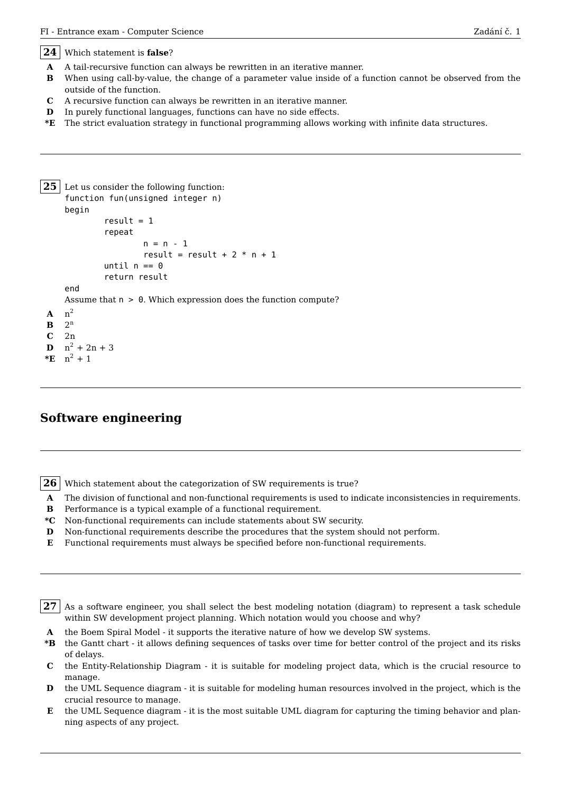#### **24** Which statement is **false**?

- **A** A tail-recursive function can always be rewritten in an iterative manner.
- **B** When using call-by-value, the change of a parameter value inside of a function cannot be observed from the outside of the function.
- **C** A recursive function can always be rewritten in an iterative manner.
- **D** In purely functional languages, functions can have no side effects.
- **\*E** The strict evaluation strategy in functional programming allows working with infinite data structures.

```
25 Let us consider the following function:
    function fun(unsigned integer n)
    begin
             result = 1repeat
                     n = n - 1result = result + 2 * n + 1until n == 0return result
    end
    Assume that n > 0. Which expression does the function compute?
A n
    n^2B
    2^nC 2n
 D n^2 + 2n + 3*E n^2 + 1
```
### **Software engineering**

- 26 Which statement about the categorization of SW requirements is true?
- **A** The division of functional and non-functional requirements is used to indicate inconsistencies in requirements.
- **B** Performance is a typical example of a functional requirement.
- **\*C** Non-functional requirements can include statements about SW security.
- **D** Non-functional requirements describe the procedures that the system should not perform.
- **E** Functional requirements must always be specified before non-functional requirements.

**27** As a software engineer, you shall select the best modeling notation (diagram) to represent a task schedule within SW development project planning. Which notation would you choose and why?

- **A** the Boem Spiral Model it supports the iterative nature of how we develop SW systems.
- **\*B** the Gantt chart it allows defining sequences of tasks over time for better control of the project and its risks of delays.
- **C** the Entity-Relationship Diagram it is suitable for modeling project data, which is the crucial resource to manage.
- **D** the UML Sequence diagram it is suitable for modeling human resources involved in the project, which is the crucial resource to manage.
- **E** the UML Sequence diagram it is the most suitable UML diagram for capturing the timing behavior and planning aspects of any project.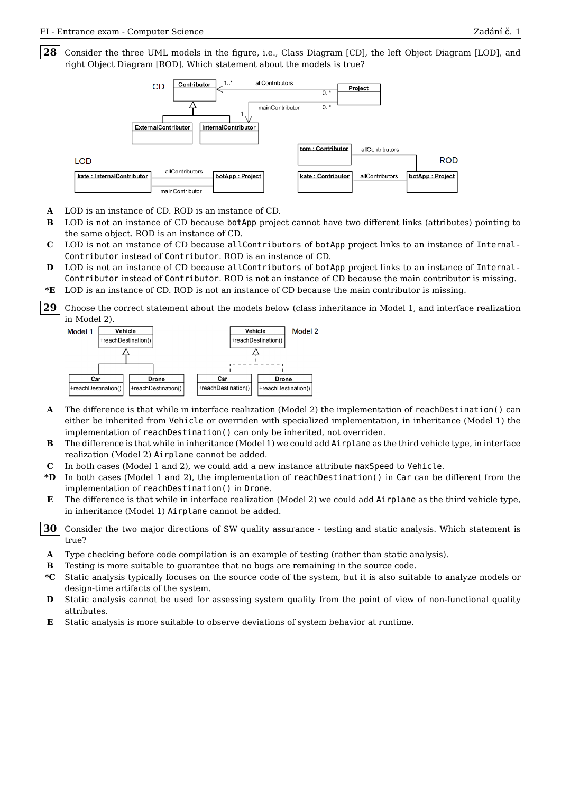28 Consider the three UML models in the figure, i.e., Class Diagram [CD], the left Object Diagram [LOD], and right Object Diagram [ROD]. Which statement about the models is true?



- **A** LOD is an instance of CD. ROD is an instance of CD.
- **B** LOD is not an instance of CD because botApp project cannot have two different links (attributes) pointing to the same object. ROD is an instance of CD.
- **C** LOD is not an instance of CD because allContributors of botApp project links to an instance of Internal-Contributor instead of Contributor. ROD is an instance of CD.
- **D** LOD is not an instance of CD because allContributors of botApp project links to an instance of Internal-Contributor instead of Contributor. ROD is not an instance of CD because the main contributor is missing.
- **\*E** LOD is an instance of CD. ROD is not an instance of CD because the main contributor is missing.

**29** Choose the correct statement about the models below (class inheritance in Model 1, and interface realization in Model 2).



- **A** The difference is that while in interface realization (Model 2) the implementation of reachDestination() can either be inherited from Vehicle or overriden with specialized implementation, in inheritance (Model 1) the implementation of reachDestination() can only be inherited, not overriden.
- **B** The difference is that while in inheritance (Model 1) we could add Airplane as the third vehicle type, in interface realization (Model 2) Airplane cannot be added.
- **C** In both cases (Model 1 and 2), we could add a new instance attribute maxSpeed to Vehicle.
- **\*D** In both cases (Model 1 and 2), the implementation of reachDestination() in Car can be different from the implementation of reachDestination() in Drone.
- **E** The difference is that while in interface realization (Model 2) we could add Airplane as the third vehicle type, in inheritance (Model 1) Airplane cannot be added.
- **30** Consider the two major directions of SW quality assurance testing and static analysis. Which statement is true?
- **A** Type checking before code compilation is an example of testing (rather than static analysis).
- **B** Testing is more suitable to quarantee that no bugs are remaining in the source code.
- **\*C** Static analysis typically focuses on the source code of the system, but it is also suitable to analyze models or design-time artifacts of the system.
- **D** Static analysis cannot be used for assessing system quality from the point of view of non-functional quality attributes.
- **E** Static analysis is more suitable to observe deviations of system behavior at runtime.